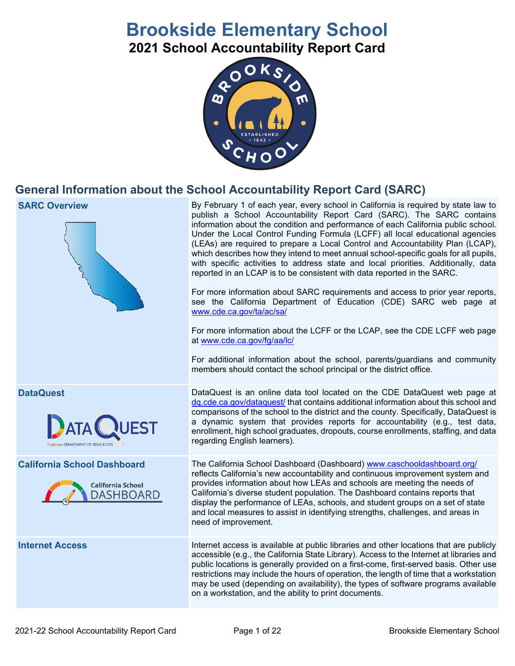# **Brookside Elementary School**

**2021 School Accountability Report Card**



## **General Information about the School Accountability Report Card (SARC)**

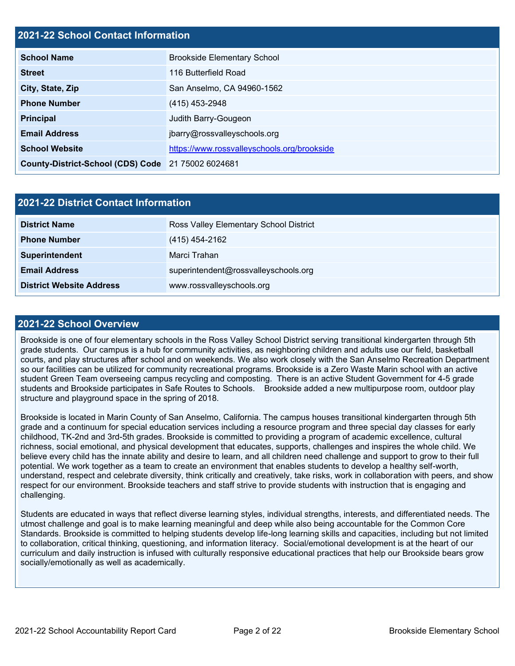## **2021-22 School Contact Information**

| <b>School Name</b>                                 | <b>Brookside Elementary School</b>          |  |  |  |
|----------------------------------------------------|---------------------------------------------|--|--|--|
| <b>Street</b>                                      | 116 Butterfield Road                        |  |  |  |
| City, State, Zip                                   | San Anselmo, CA 94960-1562                  |  |  |  |
| <b>Phone Number</b>                                | (415) 453-2948                              |  |  |  |
| <b>Principal</b>                                   | Judith Barry-Gougeon                        |  |  |  |
| <b>Email Address</b>                               | jbarry@rossvalleyschools.org                |  |  |  |
| <b>School Website</b>                              | https://www.rossvalleyschools.org/brookside |  |  |  |
| County-District-School (CDS) Code 21 75002 6024681 |                                             |  |  |  |

| 2021-22 District Contact Information |                                        |  |  |
|--------------------------------------|----------------------------------------|--|--|
| <b>District Name</b>                 | Ross Valley Elementary School District |  |  |
| <b>Phone Number</b>                  | (415) 454-2162                         |  |  |
| Superintendent                       | Marci Trahan                           |  |  |
| <b>Email Address</b>                 | superintendent@rossvalleyschools.org   |  |  |
| <b>District Website Address</b>      | www.rossvalleyschools.org              |  |  |

#### **2021-22 School Overview**

Brookside is one of four elementary schools in the Ross Valley School District serving transitional kindergarten through 5th grade students. Our campus is a hub for community activities, as neighboring children and adults use our field, basketball courts, and play structures after school and on weekends. We also work closely with the San Anselmo Recreation Department so our facilities can be utilized for community recreational programs. Brookside is a Zero Waste Marin school with an active student Green Team overseeing campus recycling and composting. There is an active Student Government for 4-5 grade students and Brookside participates in Safe Routes to Schools. Brookside added a new multipurpose room, outdoor play structure and playground space in the spring of 2018.

Brookside is located in Marin County of San Anselmo, California. The campus houses transitional kindergarten through 5th grade and a continuum for special education services including a resource program and three special day classes for early childhood, TK-2nd and 3rd-5th grades. Brookside is committed to providing a program of academic excellence, cultural richness, social emotional, and physical development that educates, supports, challenges and inspires the whole child. We believe every child has the innate ability and desire to learn, and all children need challenge and support to grow to their full potential. We work together as a team to create an environment that enables students to develop a healthy self-worth, understand, respect and celebrate diversity, think critically and creatively, take risks, work in collaboration with peers, and show respect for our environment. Brookside teachers and staff strive to provide students with instruction that is engaging and challenging.

Students are educated in ways that reflect diverse learning styles, individual strengths, interests, and differentiated needs. The utmost challenge and goal is to make learning meaningful and deep while also being accountable for the Common Core Standards. Brookside is committed to helping students develop life-long learning skills and capacities, including but not limited to collaboration, critical thinking, questioning, and information literacy. Social/emotional development is at the heart of our curriculum and daily instruction is infused with culturally responsive educational practices that help our Brookside bears grow socially/emotionally as well as academically.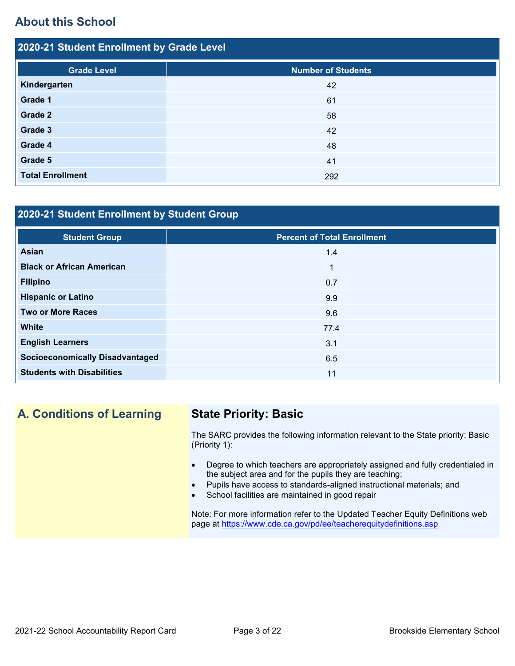## **About this School**

| 2020-21 Student Enrollment by Grade Level |                           |  |  |  |
|-------------------------------------------|---------------------------|--|--|--|
| <b>Grade Level</b>                        | <b>Number of Students</b> |  |  |  |
| Kindergarten                              | 42                        |  |  |  |
| Grade 1                                   | 61                        |  |  |  |
| Grade 2                                   | 58                        |  |  |  |
| Grade 3                                   | 42                        |  |  |  |
| Grade 4                                   | 48                        |  |  |  |
| Grade 5                                   | 41                        |  |  |  |
| <b>Total Enrollment</b>                   | 292                       |  |  |  |

## **2020-21 Student Enrollment by Student Group**

| <b>Student Group</b>                   | <b>Percent of Total Enrollment</b> |
|----------------------------------------|------------------------------------|
| Asian                                  | 1.4                                |
| <b>Black or African American</b>       | 1                                  |
| <b>Filipino</b>                        | 0.7                                |
| <b>Hispanic or Latino</b>              | 9.9                                |
| <b>Two or More Races</b>               | 9.6                                |
| <b>White</b>                           | 77.4                               |
| <b>English Learners</b>                | 3.1                                |
| <b>Socioeconomically Disadvantaged</b> | 6.5                                |
| <b>Students with Disabilities</b>      | 11                                 |

## **A. Conditions of Learning State Priority: Basic**

The SARC provides the following information relevant to the State priority: Basic (Priority 1):

- Degree to which teachers are appropriately assigned and fully credentialed in the subject area and for the pupils they are teaching;
- Pupils have access to standards-aligned instructional materials; and
- School facilities are maintained in good repair

Note: For more information refer to the Updated Teacher Equity Definitions web page at<https://www.cde.ca.gov/pd/ee/teacherequitydefinitions.asp>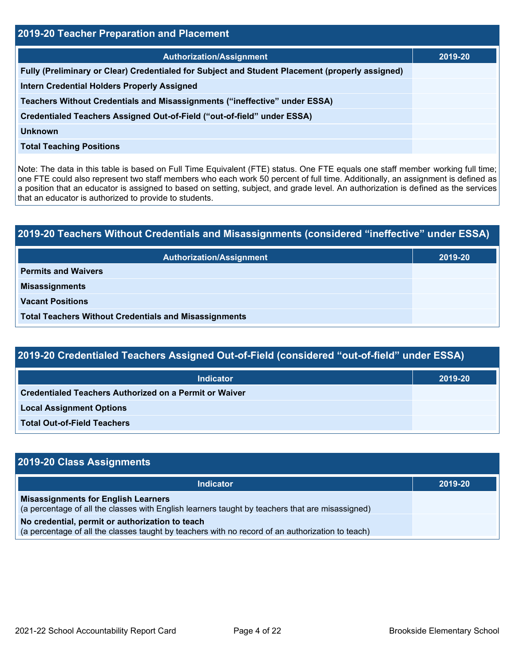| 2019-20 Teacher Preparation and Placement                                                       |         |  |  |
|-------------------------------------------------------------------------------------------------|---------|--|--|
| <b>Authorization/Assignment</b>                                                                 | 2019-20 |  |  |
| Fully (Preliminary or Clear) Credentialed for Subject and Student Placement (properly assigned) |         |  |  |
| <b>Intern Credential Holders Properly Assigned</b>                                              |         |  |  |
| Teachers Without Credentials and Misassignments ("ineffective" under ESSA)                      |         |  |  |
| Credentialed Teachers Assigned Out-of-Field ("out-of-field" under ESSA)                         |         |  |  |
| <b>Unknown</b>                                                                                  |         |  |  |
| <b>Total Teaching Positions</b>                                                                 |         |  |  |

Note: The data in this table is based on Full Time Equivalent (FTE) status. One FTE equals one staff member working full time; one FTE could also represent two staff members who each work 50 percent of full time. Additionally, an assignment is defined as a position that an educator is assigned to based on setting, subject, and grade level. An authorization is defined as the services that an educator is authorized to provide to students.

| 2019-20 Teachers Without Credentials and Misassignments (considered "ineffective" under ESSA) |         |  |
|-----------------------------------------------------------------------------------------------|---------|--|
| <b>Authorization/Assignment</b>                                                               | 2019-20 |  |
| <b>Permits and Waivers</b>                                                                    |         |  |
| <b>Misassignments</b>                                                                         |         |  |
| <b>Vacant Positions</b>                                                                       |         |  |
| <b>Total Teachers Without Credentials and Misassignments</b>                                  |         |  |

| <b>Indicator</b>                                              | 2019-20 |
|---------------------------------------------------------------|---------|
| <b>Credentialed Teachers Authorized on a Permit or Waiver</b> |         |
| <b>Local Assignment Options</b>                               |         |
| <b>Total Out-of-Field Teachers</b>                            |         |

| 2019-20 Class Assignments                                                                                                                           |         |
|-----------------------------------------------------------------------------------------------------------------------------------------------------|---------|
| <b>Indicator</b>                                                                                                                                    | 2019-20 |
| <b>Misassignments for English Learners</b><br>(a percentage of all the classes with English learners taught by teachers that are misassigned)       |         |
| No credential, permit or authorization to teach<br>(a percentage of all the classes taught by teachers with no record of an authorization to teach) |         |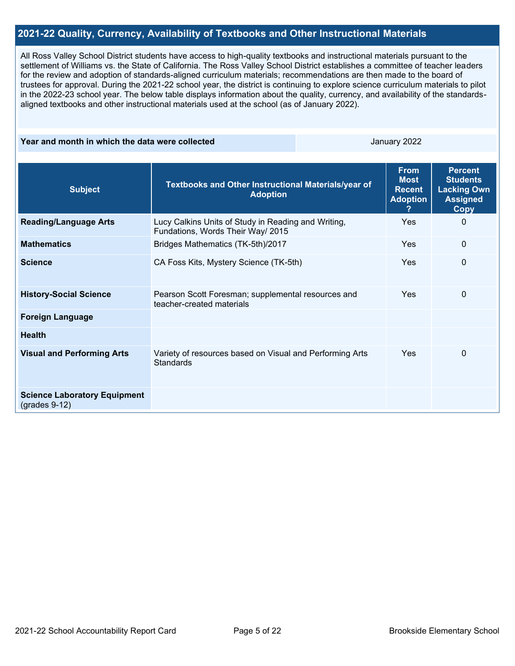### **2021-22 Quality, Currency, Availability of Textbooks and Other Instructional Materials**

All Ross Valley School District students have access to high-quality textbooks and instructional materials pursuant to the settlement of Williams vs. the State of California. The Ross Valley School District establishes a committee of teacher leaders for the review and adoption of standards-aligned curriculum materials; recommendations are then made to the board of trustees for approval. During the 2021-22 school year, the district is continuing to explore science curriculum materials to pilot in the 2022-23 school year. The below table displays information about the quality, currency, and availability of the standardsaligned textbooks and other instructional materials used at the school (as of January 2022).

#### **Year and month in which the data were collected** January 2022

| <b>Subject</b>                                         | Textbooks and Other Instructional Materials/year of<br><b>Adoption</b>                   | <b>From</b><br><b>Most</b><br><b>Recent</b><br><b>Adoption</b><br>7 | <b>Percent</b><br><b>Students</b><br><b>Lacking Own</b><br><b>Assigned</b><br><b>Copy</b> |
|--------------------------------------------------------|------------------------------------------------------------------------------------------|---------------------------------------------------------------------|-------------------------------------------------------------------------------------------|
| <b>Reading/Language Arts</b>                           | Lucy Calkins Units of Study in Reading and Writing,<br>Fundations, Words Their Way/ 2015 | <b>Yes</b>                                                          | 0                                                                                         |
| <b>Mathematics</b>                                     | Bridges Mathematics (TK-5th)/2017                                                        | Yes                                                                 | $\mathbf{0}$                                                                              |
| <b>Science</b>                                         | CA Foss Kits, Mystery Science (TK-5th)                                                   | Yes                                                                 | $\mathbf{0}$                                                                              |
| <b>History-Social Science</b>                          | Pearson Scott Foresman; supplemental resources and<br>teacher-created materials          | Yes                                                                 | 0                                                                                         |
| <b>Foreign Language</b>                                |                                                                                          |                                                                     |                                                                                           |
| <b>Health</b>                                          |                                                                                          |                                                                     |                                                                                           |
| <b>Visual and Performing Arts</b>                      | Variety of resources based on Visual and Performing Arts<br>Standards                    | Yes                                                                 | 0                                                                                         |
| <b>Science Laboratory Equipment</b><br>$(grades 9-12)$ |                                                                                          |                                                                     |                                                                                           |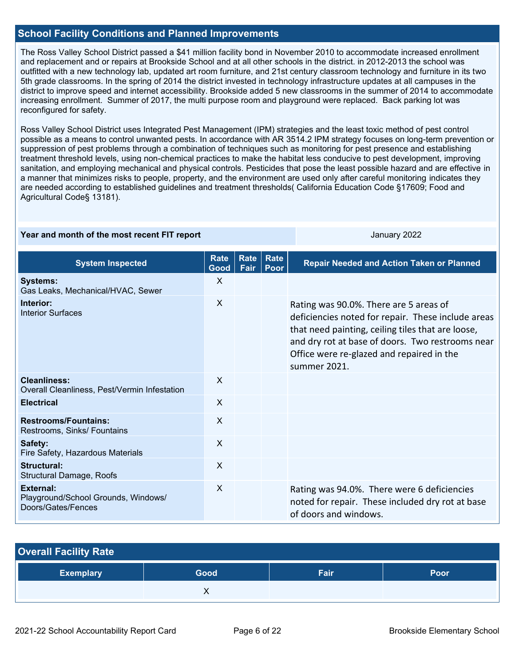## **School Facility Conditions and Planned Improvements**

The Ross Valley School District passed a \$41 million facility bond in November 2010 to accommodate increased enrollment and replacement and or repairs at Brookside School and at all other schools in the district. in 2012-2013 the school was outfitted with a new technology lab, updated art room furniture, and 21st century classroom technology and furniture in its two 5th grade classrooms. In the spring of 2014 the district invested in technology infrastructure updates at all campuses in the district to improve speed and internet accessibility. Brookside added 5 new classrooms in the summer of 2014 to accommodate increasing enrollment. Summer of 2017, the multi purpose room and playground were replaced. Back parking lot was reconfigured for safety.

Ross Valley School District uses Integrated Pest Management (IPM) strategies and the least toxic method of pest control possible as a means to control unwanted pests. In accordance with AR 3514.2 IPM strategy focuses on long-term prevention or suppression of pest problems through a combination of techniques such as monitoring for pest presence and establishing treatment threshold levels, using non-chemical practices to make the habitat less conducive to pest development, improving sanitation, and employing mechanical and physical controls. Pesticides that pose the least possible hazard and are effective in a manner that minimizes risks to people, property, and the environment are used only after careful monitoring indicates they are needed according to established guidelines and treatment thresholds( California Education Code §17609; Food and Agricultural Code§ 13181).

| Year and month of the most recent FIT report |  |
|----------------------------------------------|--|
|----------------------------------------------|--|

January 2022

| <b>System Inspected</b>                                                | <b>Rate</b><br>Good | Rate<br>Fair | Rate<br><b>Poor</b> | <b>Repair Needed and Action Taken or Planned</b>                                                                                                                                                                                                                   |
|------------------------------------------------------------------------|---------------------|--------------|---------------------|--------------------------------------------------------------------------------------------------------------------------------------------------------------------------------------------------------------------------------------------------------------------|
| <b>Systems:</b><br>Gas Leaks, Mechanical/HVAC, Sewer                   | $\mathsf{x}$        |              |                     |                                                                                                                                                                                                                                                                    |
| Interior:<br><b>Interior Surfaces</b>                                  | X                   |              |                     | Rating was 90.0%. There are 5 areas of<br>deficiencies noted for repair. These include areas<br>that need painting, ceiling tiles that are loose,<br>and dry rot at base of doors. Two restrooms near<br>Office were re-glazed and repaired in the<br>summer 2021. |
| <b>Cleanliness:</b><br>Overall Cleanliness, Pest/Vermin Infestation    | $\mathsf{x}$        |              |                     |                                                                                                                                                                                                                                                                    |
| <b>Electrical</b>                                                      | X                   |              |                     |                                                                                                                                                                                                                                                                    |
| <b>Restrooms/Fountains:</b><br>Restrooms, Sinks/ Fountains             | $\mathsf{x}$        |              |                     |                                                                                                                                                                                                                                                                    |
| Safety:<br>Fire Safety, Hazardous Materials                            | $\mathsf{x}$        |              |                     |                                                                                                                                                                                                                                                                    |
| Structural:<br><b>Structural Damage, Roofs</b>                         | X                   |              |                     |                                                                                                                                                                                                                                                                    |
| External:<br>Playground/School Grounds, Windows/<br>Doors/Gates/Fences | X                   |              |                     | Rating was 94.0%. There were 6 deficiencies<br>noted for repair. These included dry rot at base<br>of doors and windows.                                                                                                                                           |

| <b>Overall Facility Rate</b> |      |      |      |  |  |  |  |  |
|------------------------------|------|------|------|--|--|--|--|--|
| <b>Exemplary</b>             | Good | Fair | Poor |  |  |  |  |  |
|                              |      |      |      |  |  |  |  |  |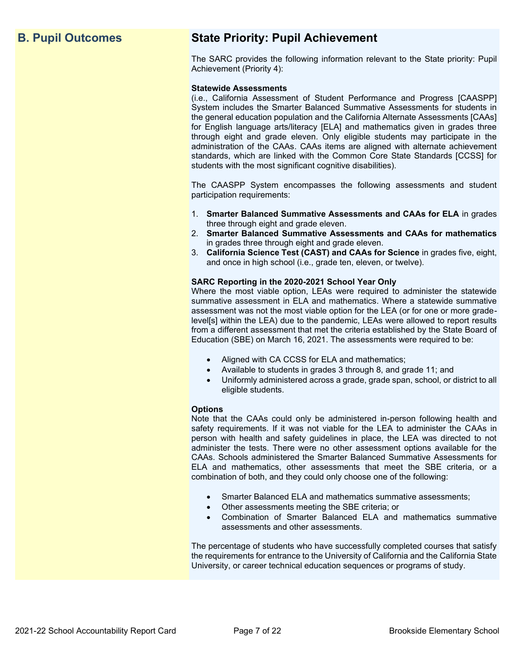## **B. Pupil Outcomes State Priority: Pupil Achievement**

The SARC provides the following information relevant to the State priority: Pupil Achievement (Priority 4):

#### **Statewide Assessments**

(i.e., California Assessment of Student Performance and Progress [CAASPP] System includes the Smarter Balanced Summative Assessments for students in the general education population and the California Alternate Assessments [CAAs] for English language arts/literacy [ELA] and mathematics given in grades three through eight and grade eleven. Only eligible students may participate in the administration of the CAAs. CAAs items are aligned with alternate achievement standards, which are linked with the Common Core State Standards [CCSS] for students with the most significant cognitive disabilities).

The CAASPP System encompasses the following assessments and student participation requirements:

- 1. **Smarter Balanced Summative Assessments and CAAs for ELA** in grades three through eight and grade eleven.
- 2. **Smarter Balanced Summative Assessments and CAAs for mathematics** in grades three through eight and grade eleven.
- 3. **California Science Test (CAST) and CAAs for Science** in grades five, eight, and once in high school (i.e., grade ten, eleven, or twelve).

#### **SARC Reporting in the 2020-2021 School Year Only**

Where the most viable option, LEAs were required to administer the statewide summative assessment in ELA and mathematics. Where a statewide summative assessment was not the most viable option for the LEA (or for one or more gradelevel[s] within the LEA) due to the pandemic, LEAs were allowed to report results from a different assessment that met the criteria established by the State Board of Education (SBE) on March 16, 2021. The assessments were required to be:

- Aligned with CA CCSS for ELA and mathematics;
- Available to students in grades 3 through 8, and grade 11; and
- Uniformly administered across a grade, grade span, school, or district to all eligible students.

#### **Options**

Note that the CAAs could only be administered in-person following health and safety requirements. If it was not viable for the LEA to administer the CAAs in person with health and safety guidelines in place, the LEA was directed to not administer the tests. There were no other assessment options available for the CAAs. Schools administered the Smarter Balanced Summative Assessments for ELA and mathematics, other assessments that meet the SBE criteria, or a combination of both, and they could only choose one of the following:

- Smarter Balanced ELA and mathematics summative assessments;
- Other assessments meeting the SBE criteria; or
- Combination of Smarter Balanced ELA and mathematics summative assessments and other assessments.

The percentage of students who have successfully completed courses that satisfy the requirements for entrance to the University of California and the California State University, or career technical education sequences or programs of study.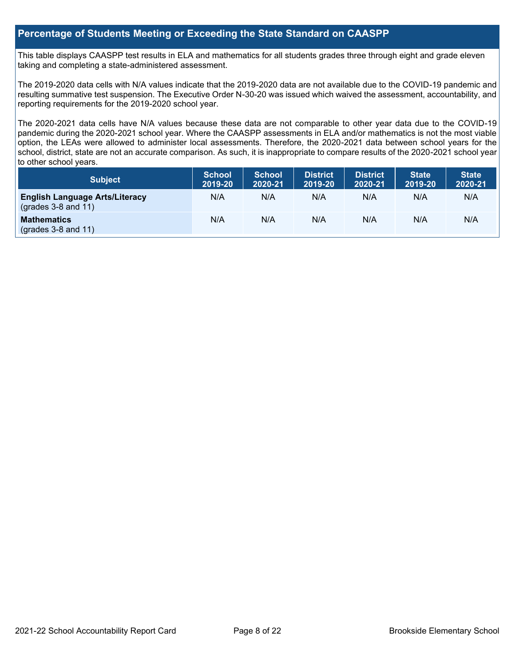## **Percentage of Students Meeting or Exceeding the State Standard on CAASPP**

This table displays CAASPP test results in ELA and mathematics for all students grades three through eight and grade eleven taking and completing a state-administered assessment.

The 2019-2020 data cells with N/A values indicate that the 2019-2020 data are not available due to the COVID-19 pandemic and resulting summative test suspension. The Executive Order N-30-20 was issued which waived the assessment, accountability, and reporting requirements for the 2019-2020 school year.

The 2020-2021 data cells have N/A values because these data are not comparable to other year data due to the COVID-19 pandemic during the 2020-2021 school year. Where the CAASPP assessments in ELA and/or mathematics is not the most viable option, the LEAs were allowed to administer local assessments. Therefore, the 2020-2021 data between school years for the school, district, state are not an accurate comparison. As such, it is inappropriate to compare results of the 2020-2021 school year to other school years.

| Subject                                                              | <b>School</b><br>2019-20 | <b>School</b><br>2020-21 | <b>District</b><br>2019-20 | <b>District</b><br>2020-21 | <b>State</b><br>2019-20 | <b>State</b><br>2020-21 |
|----------------------------------------------------------------------|--------------------------|--------------------------|----------------------------|----------------------------|-------------------------|-------------------------|
| <b>English Language Arts/Literacy</b><br>$\left($ grades 3-8 and 11) | N/A                      | N/A                      | N/A                        | N/A                        | N/A                     | N/A                     |
| <b>Mathematics</b><br>$(grades 3-8 and 11)$                          | N/A                      | N/A                      | N/A                        | N/A                        | N/A                     | N/A                     |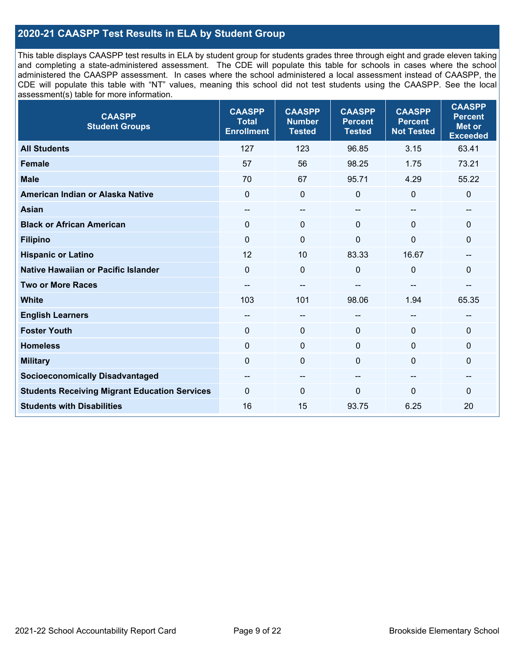## **2020-21 CAASPP Test Results in ELA by Student Group**

This table displays CAASPP test results in ELA by student group for students grades three through eight and grade eleven taking and completing a state-administered assessment. The CDE will populate this table for schools in cases where the school administered the CAASPP assessment. In cases where the school administered a local assessment instead of CAASPP, the CDE will populate this table with "NT" values, meaning this school did not test students using the CAASPP. See the local assessment(s) table for more information.

| <b>CAASPP</b><br><b>Student Groups</b>               | <b>CAASPP</b><br><b>Total</b><br><b>Enrollment</b> | <b>CAASPP</b><br><b>Number</b><br><b>Tested</b> | <b>CAASPP</b><br><b>Percent</b><br><b>Tested</b> | <b>CAASPP</b><br><b>Percent</b><br><b>Not Tested</b> | <b>CAASPP</b><br><b>Percent</b><br><b>Met or</b><br><b>Exceeded</b> |
|------------------------------------------------------|----------------------------------------------------|-------------------------------------------------|--------------------------------------------------|------------------------------------------------------|---------------------------------------------------------------------|
| <b>All Students</b>                                  | 127                                                | 123                                             | 96.85                                            | 3.15                                                 | 63.41                                                               |
| <b>Female</b>                                        | 57                                                 | 56                                              | 98.25                                            | 1.75                                                 | 73.21                                                               |
| <b>Male</b>                                          | 70                                                 | 67                                              | 95.71                                            | 4.29                                                 | 55.22                                                               |
| American Indian or Alaska Native                     | $\mathbf 0$                                        | $\mathbf 0$                                     | $\mathbf 0$                                      | $\mathbf 0$                                          | 0                                                                   |
| <b>Asian</b>                                         | $-$                                                | $\overline{\phantom{a}}$                        | $- -$                                            |                                                      | --                                                                  |
| <b>Black or African American</b>                     | $\Omega$                                           | $\mathbf 0$                                     | $\Omega$                                         | $\Omega$                                             | 0                                                                   |
| <b>Filipino</b>                                      | $\mathbf 0$                                        | $\mathbf 0$                                     | $\mathbf{0}$                                     | $\overline{0}$                                       | $\mathbf{0}$                                                        |
| <b>Hispanic or Latino</b>                            | 12                                                 | 10                                              | 83.33                                            | 16.67                                                | --                                                                  |
| <b>Native Hawaiian or Pacific Islander</b>           | $\mathbf 0$                                        | $\mathbf 0$                                     | $\mathbf 0$                                      | $\mathbf 0$                                          | 0                                                                   |
| <b>Two or More Races</b>                             | $- -$                                              | $-$                                             |                                                  |                                                      | --                                                                  |
| <b>White</b>                                         | 103                                                | 101                                             | 98.06                                            | 1.94                                                 | 65.35                                                               |
| <b>English Learners</b>                              | $- -$                                              | $\overline{\phantom{a}}$                        | $-$                                              | $\overline{a}$                                       | --                                                                  |
| <b>Foster Youth</b>                                  | $\mathbf{0}$                                       | $\mathbf 0$                                     | $\mathbf{0}$                                     | $\mathbf 0$                                          | $\Omega$                                                            |
| <b>Homeless</b>                                      | $\mathbf 0$                                        | $\pmb{0}$                                       | $\mathbf 0$                                      | $\mathbf 0$                                          | 0                                                                   |
| <b>Military</b>                                      | $\mathbf 0$                                        | $\pmb{0}$                                       | $\mathbf{0}$                                     | $\Omega$                                             | 0                                                                   |
| <b>Socioeconomically Disadvantaged</b>               | --                                                 | $\sim$                                          | --                                               | $\sim$                                               | --                                                                  |
| <b>Students Receiving Migrant Education Services</b> | $\Omega$                                           | $\mathbf 0$                                     | $\Omega$                                         | $\mathbf{0}$                                         | 0                                                                   |
| <b>Students with Disabilities</b>                    | 16                                                 | 15                                              | 93.75                                            | 6.25                                                 | 20                                                                  |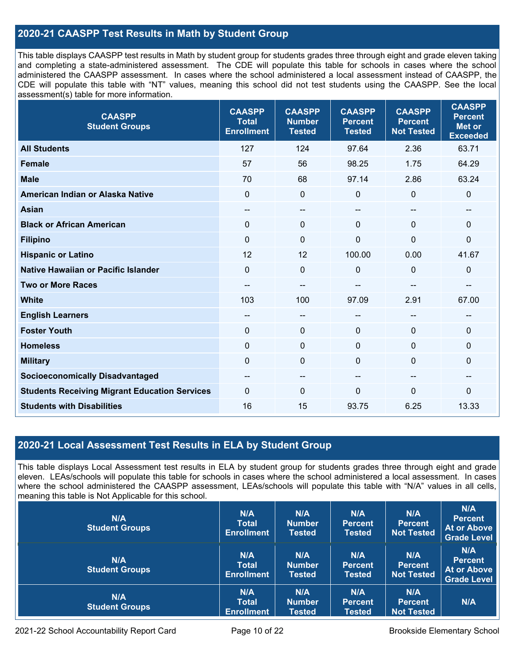## **2020-21 CAASPP Test Results in Math by Student Group**

This table displays CAASPP test results in Math by student group for students grades three through eight and grade eleven taking and completing a state-administered assessment. The CDE will populate this table for schools in cases where the school administered the CAASPP assessment. In cases where the school administered a local assessment instead of CAASPP, the CDE will populate this table with "NT" values, meaning this school did not test students using the CAASPP. See the local assessment(s) table for more information.

| <b>CAASPP</b><br><b>Student Groups</b>               | <b>CAASPP</b><br><b>Total</b><br><b>Enrollment</b> | <b>CAASPP</b><br><b>Number</b><br><b>Tested</b> | <b>CAASPP</b><br><b>Percent</b><br><b>Tested</b> | <b>CAASPP</b><br><b>Percent</b><br><b>Not Tested</b> | <b>CAASPP</b><br><b>Percent</b><br><b>Met or</b><br><b>Exceeded</b> |
|------------------------------------------------------|----------------------------------------------------|-------------------------------------------------|--------------------------------------------------|------------------------------------------------------|---------------------------------------------------------------------|
| <b>All Students</b>                                  | 127                                                | 124                                             | 97.64                                            | 2.36                                                 | 63.71                                                               |
| <b>Female</b>                                        | 57                                                 | 56                                              | 98.25                                            | 1.75                                                 | 64.29                                                               |
| <b>Male</b>                                          | 70                                                 | 68                                              | 97.14                                            | 2.86                                                 | 63.24                                                               |
| American Indian or Alaska Native                     | $\mathbf 0$                                        | $\pmb{0}$                                       | $\mathbf 0$                                      | 0                                                    | $\mathbf 0$                                                         |
| <b>Asian</b>                                         | --                                                 | --                                              | --                                               | --                                                   | --                                                                  |
| <b>Black or African American</b>                     | $\Omega$                                           | 0                                               | $\mathbf{0}$                                     | $\Omega$                                             | $\mathbf 0$                                                         |
| <b>Filipino</b>                                      | $\Omega$                                           | 0                                               | $\mathbf{0}$                                     | $\mathbf{0}$                                         | $\mathbf 0$                                                         |
| <b>Hispanic or Latino</b>                            | 12                                                 | 12                                              | 100.00                                           | 0.00                                                 | 41.67                                                               |
| Native Hawaiian or Pacific Islander                  | $\mathbf 0$                                        | $\mathbf 0$                                     | $\mathbf 0$                                      | 0                                                    | $\mathbf 0$                                                         |
| <b>Two or More Races</b>                             |                                                    | --                                              |                                                  |                                                      |                                                                     |
| <b>White</b>                                         | 103                                                | 100                                             | 97.09                                            | 2.91                                                 | 67.00                                                               |
| <b>English Learners</b>                              | --                                                 | --                                              | --                                               | --                                                   |                                                                     |
| <b>Foster Youth</b>                                  | $\mathbf 0$                                        | 0                                               | $\mathbf 0$                                      | $\Omega$                                             | $\mathbf 0$                                                         |
| <b>Homeless</b>                                      | 0                                                  | 0                                               | $\mathbf 0$                                      | $\Omega$                                             | $\mathbf 0$                                                         |
| <b>Military</b>                                      | $\mathbf 0$                                        | 0                                               | $\mathbf 0$                                      | 0                                                    | $\mathbf 0$                                                         |
| <b>Socioeconomically Disadvantaged</b>               | $- -$                                              | --                                              | --                                               | --                                                   | $- -$                                                               |
| <b>Students Receiving Migrant Education Services</b> | $\Omega$                                           | 0                                               | $\Omega$                                         | $\Omega$                                             | 0                                                                   |
| <b>Students with Disabilities</b>                    | 16                                                 | 15                                              | 93.75                                            | 6.25                                                 | 13.33                                                               |

## **2020-21 Local Assessment Test Results in ELA by Student Group**

This table displays Local Assessment test results in ELA by student group for students grades three through eight and grade eleven. LEAs/schools will populate this table for schools in cases where the school administered a local assessment. In cases where the school administered the CAASPP assessment, LEAs/schools will populate this table with "N/A" values in all cells, meaning this table is Not Applicable for this school.

| N/A<br><b>Student Groups</b> | N/A<br><b>Total</b><br><b>Enrollment</b> | N/A<br><b>Number</b><br><b>Tested</b> | N/A<br><b>Percent</b><br><b>Tested</b> | N/A<br><b>Percent</b><br><b>Not Tested</b> | N/A<br><b>Percent</b><br><b>At or Above</b><br><b>Grade Level</b> |
|------------------------------|------------------------------------------|---------------------------------------|----------------------------------------|--------------------------------------------|-------------------------------------------------------------------|
| N/A<br><b>Student Groups</b> | N/A<br><b>Total</b><br><b>Enrollment</b> | N/A<br><b>Number</b><br><b>Tested</b> | N/A<br><b>Percent</b><br><b>Tested</b> | N/A<br><b>Percent</b><br><b>Not Tested</b> | N/A<br><b>Percent</b><br><b>At or Above</b><br><b>Grade Level</b> |
| N/A<br><b>Student Groups</b> | N/A<br><b>Total</b><br><b>Enrollment</b> | N/A<br><b>Number</b><br>Tested        | N/A<br><b>Percent</b><br><b>Tested</b> | N/A<br><b>Percent</b><br><b>Not Tested</b> | N/A                                                               |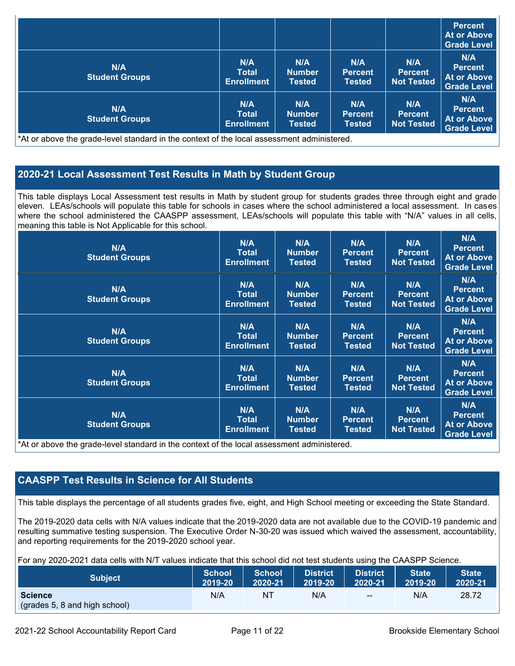|                              |                                          |                                       |                                        |                                            | Percent<br>At or Above<br><b>Grade Level</b>               |
|------------------------------|------------------------------------------|---------------------------------------|----------------------------------------|--------------------------------------------|------------------------------------------------------------|
| N/A<br><b>Student Groups</b> | N/A<br><b>Total</b><br><b>Enrollment</b> | N/A<br><b>Number</b><br><b>Tested</b> | N/A<br><b>Percent</b><br><b>Tested</b> | N/A<br><b>Percent</b><br><b>Not Tested</b> | N/A<br><b>Percent</b><br>At or Above<br><b>Grade Level</b> |
| N/A<br><b>Student Groups</b> | N/A<br>Total<br><b>Enrollment</b>        | N/A<br><b>Number</b><br><b>Tested</b> | N/A<br><b>Percent</b><br><b>Tested</b> | N/A<br><b>Percent</b><br><b>Not Tested</b> | N/A<br><b>Percent</b><br>At or Above<br><b>Grade Level</b> |

\*At or above the grade-level standard in the context of the local assessment administered.

## **2020-21 Local Assessment Test Results in Math by Student Group**

This table displays Local Assessment test results in Math by student group for students grades three through eight and grade eleven. LEAs/schools will populate this table for schools in cases where the school administered a local assessment. In cases where the school administered the CAASPP assessment, LEAs/schools will populate this table with "N/A" values in all cells, meaning this table is Not Applicable for this school.

| N/A<br><b>Student Groups</b>                                                                                                                  | N/A<br><b>Total</b><br><b>Enrollment</b>        | N/A<br><b>Number</b><br><b>Tested</b> | N/A<br><b>Percent</b><br>Tested        | N/A<br><b>Percent</b><br><b>Not Tested</b> | N/A<br><b>Percent</b><br>At or Above<br><b>Grade Level</b>        |
|-----------------------------------------------------------------------------------------------------------------------------------------------|-------------------------------------------------|---------------------------------------|----------------------------------------|--------------------------------------------|-------------------------------------------------------------------|
| N/A<br><b>Student Groups</b>                                                                                                                  | N/A<br><b>Total</b><br><b>Enrollment</b>        | N/A<br><b>Number</b><br><b>Tested</b> | N/A<br><b>Percent</b><br><b>Tested</b> | N/A<br><b>Percent</b><br><b>Not Tested</b> | N/A<br><b>Percent</b><br><b>At or Above</b><br><b>Grade Level</b> |
| N/A<br><b>Student Groups</b>                                                                                                                  | <b>N/A</b><br><b>Total</b><br><b>Enrollment</b> | N/A<br><b>Number</b><br><b>Tested</b> | N/A<br><b>Percent</b><br><b>Tested</b> | N/A<br><b>Percent</b><br><b>Not Tested</b> | N/A<br><b>Percent</b><br><b>At or Above</b><br><b>Grade Level</b> |
| N/A<br><b>Student Groups</b>                                                                                                                  | N/A<br><b>Total</b><br><b>Enrollment</b>        | N/A<br><b>Number</b><br><b>Tested</b> | N/A<br><b>Percent</b><br><b>Tested</b> | N/A<br><b>Percent</b><br><b>Not Tested</b> | N/A<br><b>Percent</b><br><b>At or Above</b><br><b>Grade Level</b> |
| N/A<br><b>Student Groups</b><br>*At an abacca that would have been doned by the counterst of the house against the substantial and the search | <b>N/A</b><br><b>Total</b><br><b>Enrollment</b> | N/A<br><b>Number</b><br><b>Tested</b> | N/A<br><b>Percent</b><br><b>Tested</b> | N/A<br><b>Percent</b><br><b>Not Tested</b> | N/A<br><b>Percent</b><br><b>At or Above</b><br><b>Grade Level</b> |

\*At or above the grade-level standard in the context of the local assessment administered.

## **CAASPP Test Results in Science for All Students**

This table displays the percentage of all students grades five, eight, and High School meeting or exceeding the State Standard.

The 2019-2020 data cells with N/A values indicate that the 2019-2020 data are not available due to the COVID-19 pandemic and resulting summative testing suspension. The Executive Order N-30-20 was issued which waived the assessment, accountability, and reporting requirements for the 2019-2020 school year.

For any 2020-2021 data cells with N/T values indicate that this school did not test students using the CAASPP Science.

| <b>Subject</b>                                  | <b>School</b> | <b>School</b> | <b>District</b> | <b>District</b> | <b>State</b> | <b>State</b> |
|-------------------------------------------------|---------------|---------------|-----------------|-----------------|--------------|--------------|
|                                                 | 2019-20       | 2020-21       | 2019-20         | 2020-21         | 2019-20      | 2020-21      |
| <b>Science</b><br>(grades 5, 8 and high school) | N/A           | NT.           | N/A             | $- -$           | N/A          | 28.72        |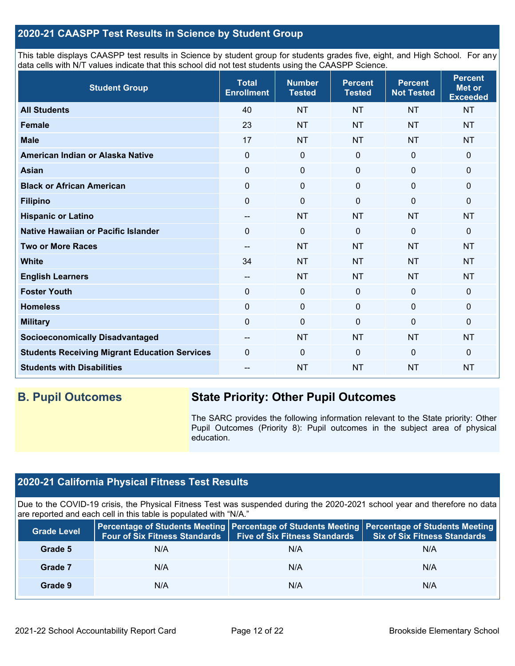## **2020-21 CAASPP Test Results in Science by Student Group**

This table displays CAASPP test results in Science by student group for students grades five, eight, and High School. For any data cells with N/T values indicate that this school did not test students using the CAASPP Science.

| <b>Student Group</b>                                 | <b>Total</b><br><b>Enrollment</b>     | <b>Number</b><br><b>Tested</b> | <b>Percent</b><br><b>Tested</b> | <b>Percent</b><br><b>Not Tested</b> | <b>Percent</b><br><b>Met or</b><br><b>Exceeded</b> |
|------------------------------------------------------|---------------------------------------|--------------------------------|---------------------------------|-------------------------------------|----------------------------------------------------|
| <b>All Students</b>                                  | 40                                    | <b>NT</b>                      | <b>NT</b>                       | <b>NT</b>                           | <b>NT</b>                                          |
| Female                                               | 23                                    | <b>NT</b>                      | <b>NT</b>                       | <b>NT</b>                           | <b>NT</b>                                          |
| <b>Male</b>                                          | 17                                    | <b>NT</b>                      | <b>NT</b>                       | <b>NT</b>                           | <b>NT</b>                                          |
| American Indian or Alaska Native                     | $\Omega$                              | $\mathbf 0$                    | $\mathbf 0$                     | $\mathbf{0}$                        | $\mathbf 0$                                        |
| <b>Asian</b>                                         | $\mathbf 0$                           | $\pmb{0}$                      | $\mathbf 0$                     | $\mathbf 0$                         | 0                                                  |
| <b>Black or African American</b>                     | $\mathbf 0$                           | $\pmb{0}$                      | 0                               | $\mathbf 0$                         | 0                                                  |
| <b>Filipino</b>                                      | 0                                     | $\mathbf 0$                    | $\Omega$                        | $\Omega$                            | 0                                                  |
| <b>Hispanic or Latino</b>                            | $\qquad \qquad -$                     | <b>NT</b>                      | <b>NT</b>                       | <b>NT</b>                           | <b>NT</b>                                          |
| Native Hawaiian or Pacific Islander                  | $\Omega$                              | $\mathbf 0$                    | $\Omega$                        | $\overline{0}$                      | 0                                                  |
| <b>Two or More Races</b>                             | --                                    | <b>NT</b>                      | <b>NT</b>                       | <b>NT</b>                           | <b>NT</b>                                          |
| <b>White</b>                                         | 34                                    | <b>NT</b>                      | <b>NT</b>                       | <b>NT</b>                           | <b>NT</b>                                          |
| <b>English Learners</b>                              | $\hspace{0.05cm}$ – $\hspace{0.05cm}$ | <b>NT</b>                      | <b>NT</b>                       | <b>NT</b>                           | <b>NT</b>                                          |
| <b>Foster Youth</b>                                  | $\mathbf 0$                           | $\pmb{0}$                      | $\mathbf 0$                     | $\mathbf 0$                         | $\mathbf 0$                                        |
| <b>Homeless</b>                                      | $\mathbf 0$                           | $\pmb{0}$                      | $\mathbf 0$                     | $\mathbf 0$                         | 0                                                  |
| <b>Military</b>                                      | $\mathbf 0$                           | $\pmb{0}$                      | $\Omega$                        | $\mathbf 0$                         | 0                                                  |
| <b>Socioeconomically Disadvantaged</b>               | $\qquad \qquad -$                     | <b>NT</b>                      | <b>NT</b>                       | <b>NT</b>                           | <b>NT</b>                                          |
| <b>Students Receiving Migrant Education Services</b> | $\mathbf 0$                           | $\mathbf 0$                    | $\Omega$                        | $\mathbf 0$                         | 0                                                  |
| <b>Students with Disabilities</b>                    | --                                    | <b>NT</b>                      | <b>NT</b>                       | <b>NT</b>                           | <b>NT</b>                                          |

## **B. Pupil Outcomes State Priority: Other Pupil Outcomes**

The SARC provides the following information relevant to the State priority: Other Pupil Outcomes (Priority 8): Pupil outcomes in the subject area of physical education.

## **2020-21 California Physical Fitness Test Results**

Due to the COVID-19 crisis, the Physical Fitness Test was suspended during the 2020-2021 school year and therefore no data are reported and each cell in this table is populated with "N/A."

| <b>Grade Level</b> | <b>Four of Six Fitness Standards</b> | <b>Five of Six Fitness Standards</b> | Percentage of Students Meeting   Percentage of Students Meeting   Percentage of Students Meeting<br><b>Six of Six Fitness Standards</b> |
|--------------------|--------------------------------------|--------------------------------------|-----------------------------------------------------------------------------------------------------------------------------------------|
| Grade 5            | N/A                                  | N/A                                  | N/A                                                                                                                                     |
| Grade 7            | N/A                                  | N/A                                  | N/A                                                                                                                                     |
| Grade 9            | N/A                                  | N/A                                  | N/A                                                                                                                                     |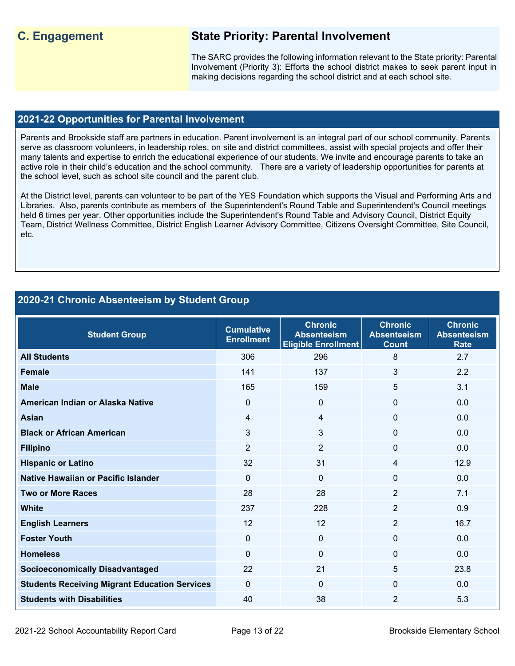## **C. Engagement State Priority: Parental Involvement**

The SARC provides the following information relevant to the State priority: Parental Involvement (Priority 3): Efforts the school district makes to seek parent input in making decisions regarding the school district and at each school site.

#### **2021-22 Opportunities for Parental Involvement**

Parents and Brookside staff are partners in education. Parent involvement is an integral part of our school community. Parents serve as classroom volunteers, in leadership roles, on site and district committees, assist with special projects and offer their many talents and expertise to enrich the educational experience of our students. We invite and encourage parents to take an active role in their child's education and the school community. There are a variety of leadership opportunities for parents at the school level, such as school site council and the parent club.

At the District level, parents can volunteer to be part of the YES Foundation which supports the Visual and Performing Arts and Libraries. Also, parents contribute as members of the Superintendent's Round Table and Superintendent's Council meetings held 6 times per year. Other opportunities include the Superintendent's Round Table and Advisory Council. District Equity Team, District Wellness Committee, District English Learner Advisory Committee, Citizens Oversight Committee, Site Council, etc.

## **2020-21 Chronic Absenteeism by Student Group**

| <b>Student Group</b>                                 | <b>Cumulative</b><br><b>Enrollment</b> | <b>Chronic</b><br><b>Absenteeism</b><br><b>Eligible Enrollment</b> | <b>Chronic</b><br><b>Absenteeism</b><br><b>Count</b> | <b>Chronic</b><br><b>Absenteeism</b><br><b>Rate</b> |
|------------------------------------------------------|----------------------------------------|--------------------------------------------------------------------|------------------------------------------------------|-----------------------------------------------------|
| <b>All Students</b>                                  | 306                                    | 296                                                                | 8                                                    | 2.7                                                 |
| <b>Female</b>                                        | 141                                    | 137                                                                | 3                                                    | 2.2                                                 |
| <b>Male</b>                                          | 165                                    | 159                                                                | 5                                                    | 3.1                                                 |
| American Indian or Alaska Native                     | $\Omega$                               | $\Omega$                                                           | $\Omega$                                             | 0.0                                                 |
| <b>Asian</b>                                         | $\overline{4}$                         | $\overline{4}$                                                     | 0                                                    | 0.0                                                 |
| <b>Black or African American</b>                     | $\mathfrak{S}$                         | 3                                                                  | 0                                                    | 0.0                                                 |
| <b>Filipino</b>                                      | 2                                      | $\overline{2}$                                                     | 0                                                    | 0.0                                                 |
| <b>Hispanic or Latino</b>                            | 32                                     | 31                                                                 | 4                                                    | 12.9                                                |
| Native Hawaiian or Pacific Islander                  | $\mathbf{0}$                           | $\Omega$                                                           | $\Omega$                                             | 0.0                                                 |
| <b>Two or More Races</b>                             | 28                                     | 28                                                                 | $\overline{2}$                                       | 7.1                                                 |
| <b>White</b>                                         | 237                                    | 228                                                                | $\overline{2}$                                       | 0.9                                                 |
| <b>English Learners</b>                              | 12                                     | 12                                                                 | $\overline{2}$                                       | 16.7                                                |
| <b>Foster Youth</b>                                  | $\Omega$                               | $\mathbf 0$                                                        | $\mathbf{0}$                                         | 0.0                                                 |
| <b>Homeless</b>                                      | $\Omega$                               | $\Omega$                                                           | 0                                                    | 0.0                                                 |
| <b>Socioeconomically Disadvantaged</b>               | 22                                     | 21                                                                 | 5                                                    | 23.8                                                |
| <b>Students Receiving Migrant Education Services</b> | $\mathbf{0}$                           | $\Omega$                                                           | $\Omega$                                             | 0.0                                                 |
| <b>Students with Disabilities</b>                    | 40                                     | 38                                                                 | $\overline{2}$                                       | 5.3                                                 |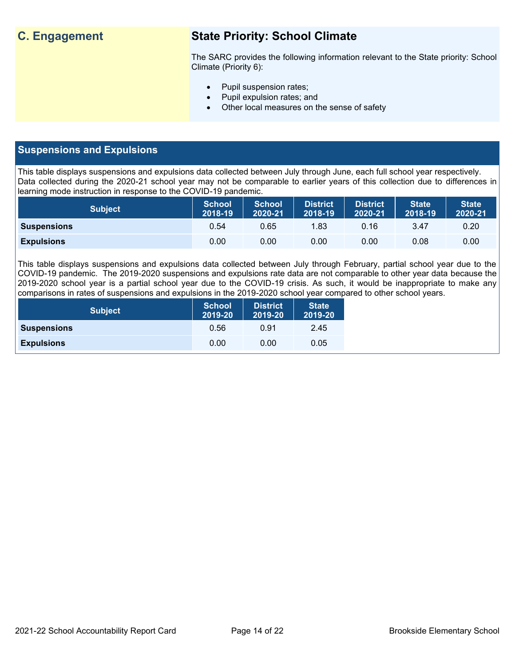## **C. Engagement State Priority: School Climate**

The SARC provides the following information relevant to the State priority: School Climate (Priority 6):

- Pupil suspension rates;
- Pupil expulsion rates; and
- Other local measures on the sense of safety

## **Suspensions and Expulsions**

This table displays suspensions and expulsions data collected between July through June, each full school year respectively. Data collected during the 2020-21 school year may not be comparable to earlier years of this collection due to differences in learning mode instruction in response to the COVID-19 pandemic.

| <b>Subject</b>     | <b>School</b><br>2018-19 | <b>School</b><br>2020-21 | <b>District</b><br>2018-19 | <b>District</b><br>2020-21 | <b>State</b><br>2018-19 | <b>State</b><br>2020-21 |
|--------------------|--------------------------|--------------------------|----------------------------|----------------------------|-------------------------|-------------------------|
| <b>Suspensions</b> | 0.54                     | 0.65                     | 1.83                       | 0.16                       | 3.47                    | 0.20                    |
| <b>Expulsions</b>  | 0.00                     | 0.00                     | 0.00                       | 0.00                       | 0.08                    | 0.00                    |

This table displays suspensions and expulsions data collected between July through February, partial school year due to the COVID-19 pandemic. The 2019-2020 suspensions and expulsions rate data are not comparable to other year data because the 2019-2020 school year is a partial school year due to the COVID-19 crisis. As such, it would be inappropriate to make any comparisons in rates of suspensions and expulsions in the 2019-2020 school year compared to other school years.

| <b>Subject</b>     | <b>School</b><br>2019-20 | <b>District</b><br>2019-20 | <b>State</b><br>2019-20 |
|--------------------|--------------------------|----------------------------|-------------------------|
| <b>Suspensions</b> | 0.56                     | 0.91                       | 2.45                    |
| <b>Expulsions</b>  | 0.00                     | 0.00                       | 0.05                    |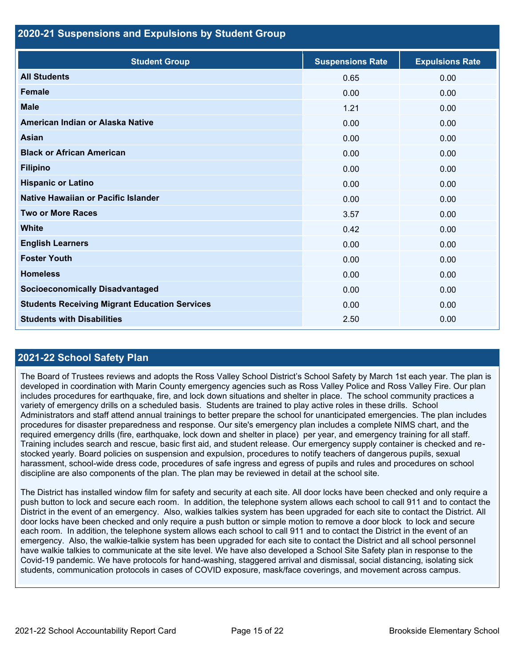### **2020-21 Suspensions and Expulsions by Student Group**

| <b>Student Group</b>                                 | <b>Suspensions Rate</b> | <b>Expulsions Rate</b> |
|------------------------------------------------------|-------------------------|------------------------|
| <b>All Students</b>                                  | 0.65                    | 0.00                   |
| <b>Female</b>                                        | 0.00                    | 0.00                   |
| <b>Male</b>                                          | 1.21                    | 0.00                   |
| American Indian or Alaska Native                     | 0.00                    | 0.00                   |
| <b>Asian</b>                                         | 0.00                    | 0.00                   |
| <b>Black or African American</b>                     | 0.00                    | 0.00                   |
| <b>Filipino</b>                                      | 0.00                    | 0.00                   |
| <b>Hispanic or Latino</b>                            | 0.00                    | 0.00                   |
| Native Hawaiian or Pacific Islander                  | 0.00                    | 0.00                   |
| <b>Two or More Races</b>                             | 3.57                    | 0.00                   |
| <b>White</b>                                         | 0.42                    | 0.00                   |
| <b>English Learners</b>                              | 0.00                    | 0.00                   |
| <b>Foster Youth</b>                                  | 0.00                    | 0.00                   |
| <b>Homeless</b>                                      | 0.00                    | 0.00                   |
| <b>Socioeconomically Disadvantaged</b>               | 0.00                    | 0.00                   |
| <b>Students Receiving Migrant Education Services</b> | 0.00                    | 0.00                   |
| <b>Students with Disabilities</b>                    | 2.50                    | 0.00                   |

## **2021-22 School Safety Plan**

The Board of Trustees reviews and adopts the Ross Valley School District's School Safety by March 1st each year. The plan is developed in coordination with Marin County emergency agencies such as Ross Valley Police and Ross Valley Fire. Our plan includes procedures for earthquake, fire, and lock down situations and shelter in place. The school community practices a variety of emergency drills on a scheduled basis. Students are trained to play active roles in these drills. School Administrators and staff attend annual trainings to better prepare the school for unanticipated emergencies. The plan includes procedures for disaster preparedness and response. Our site's emergency plan includes a complete NIMS chart, and the required emergency drills (fire, earthquake, lock down and shelter in place) per year, and emergency training for all staff. Training includes search and rescue, basic first aid, and student release. Our emergency supply container is checked and restocked yearly. Board policies on suspension and expulsion, procedures to notify teachers of dangerous pupils, sexual harassment, school-wide dress code, procedures of safe ingress and egress of pupils and rules and procedures on school discipline are also components of the plan. The plan may be reviewed in detail at the school site.

The District has installed window film for safety and security at each site. All door locks have been checked and only require a push button to lock and secure each room. In addition, the telephone system allows each school to call 911 and to contact the District in the event of an emergency. Also, walkies talkies system has been upgraded for each site to contact the District. All door locks have been checked and only require a push button or simple motion to remove a door block to lock and secure each room. In addition, the telephone system allows each school to call 911 and to contact the District in the event of an emergency. Also, the walkie-talkie system has been upgraded for each site to contact the District and all school personnel have walkie talkies to communicate at the site level. We have also developed a School Site Safety plan in response to the Covid-19 pandemic. We have protocols for hand-washing, staggered arrival and dismissal, social distancing, isolating sick students, communication protocols in cases of COVID exposure, mask/face coverings, and movement across campus.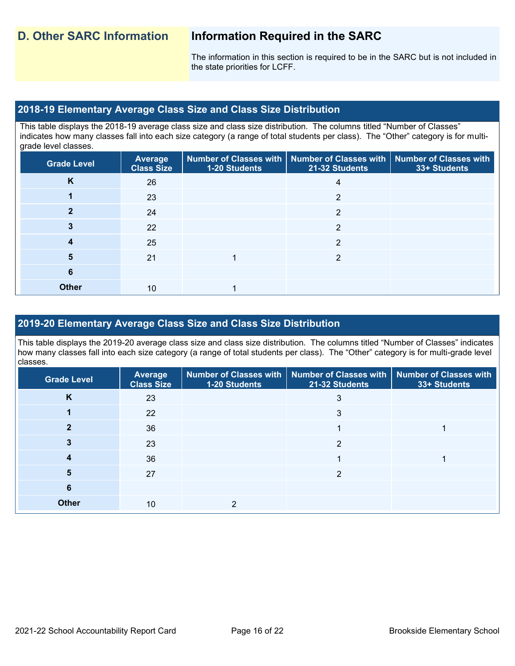The information in this section is required to be in the SARC but is not included in the state priorities for LCFF.

### **2018-19 Elementary Average Class Size and Class Size Distribution**

This table displays the 2018-19 average class size and class size distribution. The columns titled "Number of Classes" indicates how many classes fall into each size category (a range of total students per class). The "Other" category is for multigrade level classes.

| <b>Grade Level</b> | Average<br><b>Class Size</b> | 1-20 Students | Number of Classes with   Number of Classes with   Number of Classes with<br>21-32 Students | 33+ Students |
|--------------------|------------------------------|---------------|--------------------------------------------------------------------------------------------|--------------|
| K                  | 26                           |               |                                                                                            |              |
|                    | 23                           |               | $\overline{2}$                                                                             |              |
| 2                  | 24                           |               | 2                                                                                          |              |
| 3                  | 22                           |               | 2                                                                                          |              |
| 4                  | 25                           |               | っ                                                                                          |              |
| 5                  | 21                           |               | າ                                                                                          |              |
| 6                  |                              |               |                                                                                            |              |
| <b>Other</b>       | 10                           |               |                                                                                            |              |

## **2019-20 Elementary Average Class Size and Class Size Distribution**

This table displays the 2019-20 average class size and class size distribution. The columns titled "Number of Classes" indicates how many classes fall into each size category (a range of total students per class). The "Other" category is for multi-grade level classes.

| <b>Grade Level</b> | <b>Average</b><br><b>Class Size</b> | 1-20 Students | Number of Classes with   Number of Classes with   Number of Classes with<br>21-32 Students | 33+ Students |
|--------------------|-------------------------------------|---------------|--------------------------------------------------------------------------------------------|--------------|
| K                  | 23                                  |               | 3                                                                                          |              |
|                    | 22                                  |               | 3                                                                                          |              |
|                    | 36                                  |               |                                                                                            |              |
|                    | 23                                  |               | າ                                                                                          |              |
|                    | 36                                  |               |                                                                                            |              |
| 5                  | 27                                  |               | 2                                                                                          |              |
| 6                  |                                     |               |                                                                                            |              |
| <b>Other</b>       | 10                                  |               |                                                                                            |              |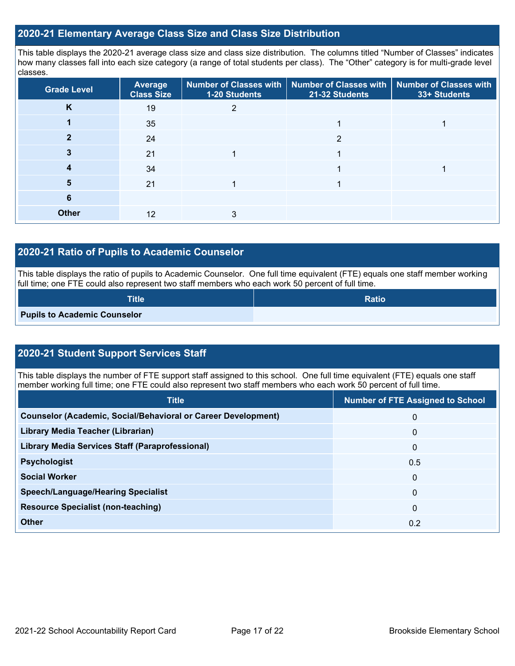### **2020-21 Elementary Average Class Size and Class Size Distribution**

This table displays the 2020-21 average class size and class size distribution. The columns titled "Number of Classes" indicates how many classes fall into each size category (a range of total students per class). The "Other" category is for multi-grade level classes.

| <b>Grade Level</b> | Average<br><b>Class Size</b> | 1-20 Students | Number of Classes with   Number of Classes with   Number of Classes with<br>21-32 Students | 33+ Students |
|--------------------|------------------------------|---------------|--------------------------------------------------------------------------------------------|--------------|
| K                  | 19                           |               |                                                                                            |              |
|                    | 35                           |               |                                                                                            |              |
|                    | 24                           |               | າ                                                                                          |              |
|                    | 21                           |               |                                                                                            |              |
|                    | 34                           |               |                                                                                            |              |
| 5                  | 21                           |               |                                                                                            |              |
| 6                  |                              |               |                                                                                            |              |
| <b>Other</b>       | 12                           |               |                                                                                            |              |

## **2020-21 Ratio of Pupils to Academic Counselor**

This table displays the ratio of pupils to Academic Counselor. One full time equivalent (FTE) equals one staff member working full time; one FTE could also represent two staff members who each work 50 percent of full time.

| <b>Title</b>                        | <b>Ratio</b> |
|-------------------------------------|--------------|
| <b>Pupils to Academic Counselor</b> |              |

## **2020-21 Student Support Services Staff**

This table displays the number of FTE support staff assigned to this school. One full time equivalent (FTE) equals one staff member working full time; one FTE could also represent two staff members who each work 50 percent of full time.

| <b>Title</b>                                                         | <b>Number of FTE Assigned to School</b> |
|----------------------------------------------------------------------|-----------------------------------------|
| <b>Counselor (Academic, Social/Behavioral or Career Development)</b> | 0                                       |
| Library Media Teacher (Librarian)                                    | 0                                       |
| <b>Library Media Services Staff (Paraprofessional)</b>               | 0                                       |
| <b>Psychologist</b>                                                  | 0.5                                     |
| <b>Social Worker</b>                                                 | 0                                       |
| <b>Speech/Language/Hearing Specialist</b>                            | 0                                       |
| <b>Resource Specialist (non-teaching)</b>                            | 0                                       |
| <b>Other</b>                                                         | 0.2                                     |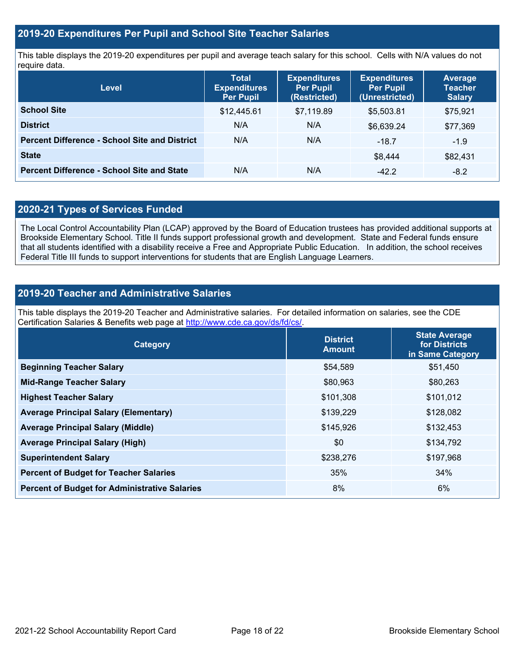## **2019-20 Expenditures Per Pupil and School Site Teacher Salaries**

This table displays the 2019-20 expenditures per pupil and average teach salary for this school. Cells with N/A values do not require data.

| <b>Level</b>                                         | <b>Total</b><br><b>Expenditures</b><br><b>Per Pupil</b> | <b>Expenditures</b><br><b>Per Pupil</b><br>(Restricted) | <b>Expenditures</b><br><b>Per Pupil</b><br>(Unrestricted) | <b>Average</b><br><b>Teacher</b><br><b>Salary</b> |
|------------------------------------------------------|---------------------------------------------------------|---------------------------------------------------------|-----------------------------------------------------------|---------------------------------------------------|
| <b>School Site</b>                                   | \$12,445.61                                             | \$7,119.89                                              | \$5,503.81                                                | \$75,921                                          |
| <b>District</b>                                      | N/A                                                     | N/A                                                     | \$6,639.24                                                | \$77,369                                          |
| <b>Percent Difference - School Site and District</b> | N/A                                                     | N/A                                                     | $-18.7$                                                   | $-1.9$                                            |
| <b>State</b>                                         |                                                         |                                                         | \$8,444                                                   | \$82,431                                          |
| <b>Percent Difference - School Site and State</b>    | N/A                                                     | N/A                                                     | $-42.2$                                                   | $-8.2$                                            |

## **2020-21 Types of Services Funded**

The Local Control Accountability Plan (LCAP) approved by the Board of Education trustees has provided additional supports at Brookside Elementary School. Title II funds support professional growth and development. State and Federal funds ensure that all students identified with a disability receive a Free and Appropriate Public Education. In addition, the school receives Federal Title III funds to support interventions for students that are English Language Learners.

## **2019-20 Teacher and Administrative Salaries**

This table displays the 2019-20 Teacher and Administrative salaries. For detailed information on salaries, see the CDE Certification Salaries & Benefits web page at [http://www.cde.ca.gov/ds/fd/cs/.](http://www.cde.ca.gov/ds/fd/cs/)

| Category                                             | <b>District</b><br><b>Amount</b> | <b>State Average</b><br>for Districts<br>in Same Category |
|------------------------------------------------------|----------------------------------|-----------------------------------------------------------|
| <b>Beginning Teacher Salary</b>                      | \$54,589                         | \$51,450                                                  |
| <b>Mid-Range Teacher Salary</b>                      | \$80,963                         | \$80,263                                                  |
| <b>Highest Teacher Salary</b>                        | \$101,308                        | \$101,012                                                 |
| <b>Average Principal Salary (Elementary)</b>         | \$139,229                        | \$128,082                                                 |
| <b>Average Principal Salary (Middle)</b>             | \$145,926                        | \$132,453                                                 |
| <b>Average Principal Salary (High)</b>               | \$0                              | \$134,792                                                 |
| <b>Superintendent Salary</b>                         | \$238,276                        | \$197,968                                                 |
| <b>Percent of Budget for Teacher Salaries</b>        | 35%                              | 34%                                                       |
| <b>Percent of Budget for Administrative Salaries</b> | 8%                               | 6%                                                        |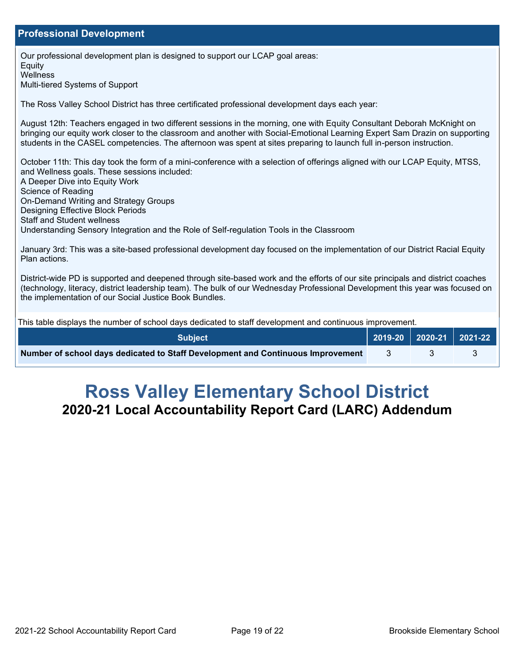### **Professional Development**

Our professional development plan is designed to support our LCAP goal areas: Equity **Wellness** Multi-tiered Systems of Support The Ross Valley School District has three certificated professional development days each year: August 12th: Teachers engaged in two different sessions in the morning, one with Equity Consultant Deborah McKnight on bringing our equity work closer to the classroom and another with Social-Emotional Learning Expert Sam Drazin on supporting students in the CASEL competencies. The afternoon was spent at sites preparing to launch full in-person instruction. October 11th: This day took the form of a mini-conference with a selection of offerings aligned with our LCAP Equity, MTSS, and Wellness goals. These sessions included: A Deeper Dive into Equity Work Science of Reading On-Demand Writing and Strategy Groups Designing Effective Block Periods Staff and Student wellness Understanding Sensory Integration and the Role of Self-regulation Tools in the Classroom January 3rd: This was a site-based professional development day focused on the implementation of our District Racial Equity Plan actions. District-wide PD is supported and deepened through site-based work and the efforts of our site principals and district coaches (technology, literacy, district leadership team). The bulk of our Wednesday Professional Development this year was focused on the implementation of our Social Justice Book Bundles. This table displays the number of school days dedicated to staff development and continuous improvement. **Subject 2019-20 2020-21 2021-22 Number of school days dedicated to Staff Development and Continuous Improvement**  $\begin{array}{ccc} 3 & 3 & 3 \end{array}$ 

# **Ross Valley Elementary School District 2020-21 Local Accountability Report Card (LARC) Addendum**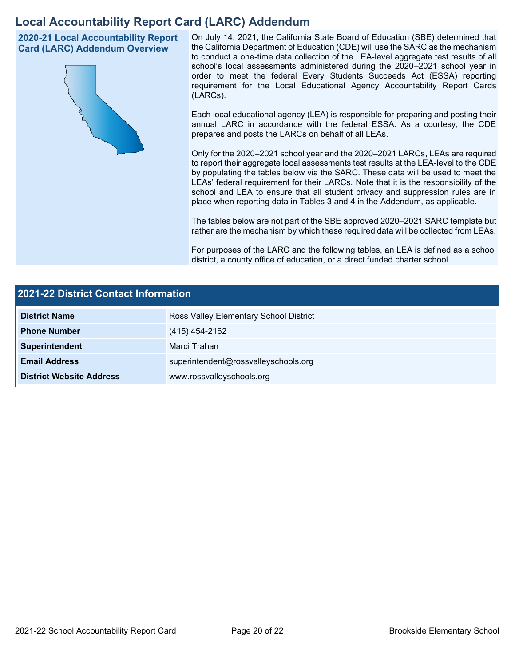## **Local Accountability Report Card (LARC) Addendum**

**2020-21 Local Accountability Report Card (LARC) Addendum Overview**



On July 14, 2021, the California State Board of Education (SBE) determined that the California Department of Education (CDE) will use the SARC as the mechanism to conduct a one-time data collection of the LEA-level aggregate test results of all school's local assessments administered during the 2020–2021 school year in order to meet the federal Every Students Succeeds Act (ESSA) reporting requirement for the Local Educational Agency Accountability Report Cards (LARCs).

Each local educational agency (LEA) is responsible for preparing and posting their annual LARC in accordance with the federal ESSA. As a courtesy, the CDE prepares and posts the LARCs on behalf of all LEAs.

Only for the 2020–2021 school year and the 2020–2021 LARCs, LEAs are required to report their aggregate local assessments test results at the LEA-level to the CDE by populating the tables below via the SARC. These data will be used to meet the LEAs' federal requirement for their LARCs. Note that it is the responsibility of the school and LEA to ensure that all student privacy and suppression rules are in place when reporting data in Tables 3 and 4 in the Addendum, as applicable.

The tables below are not part of the SBE approved 2020–2021 SARC template but rather are the mechanism by which these required data will be collected from LEAs.

For purposes of the LARC and the following tables, an LEA is defined as a school district, a county office of education, or a direct funded charter school.

| <b>2021-22 District Contact Information</b> |                                        |  |  |  |
|---------------------------------------------|----------------------------------------|--|--|--|
| <b>District Name</b>                        | Ross Valley Elementary School District |  |  |  |
| <b>Phone Number</b>                         | (415) 454-2162                         |  |  |  |
| Superintendent                              | Marci Trahan                           |  |  |  |
| <b>Email Address</b>                        | superintendent@rossvalleyschools.org   |  |  |  |
| <b>District Website Address</b>             | www.rossvalleyschools.org              |  |  |  |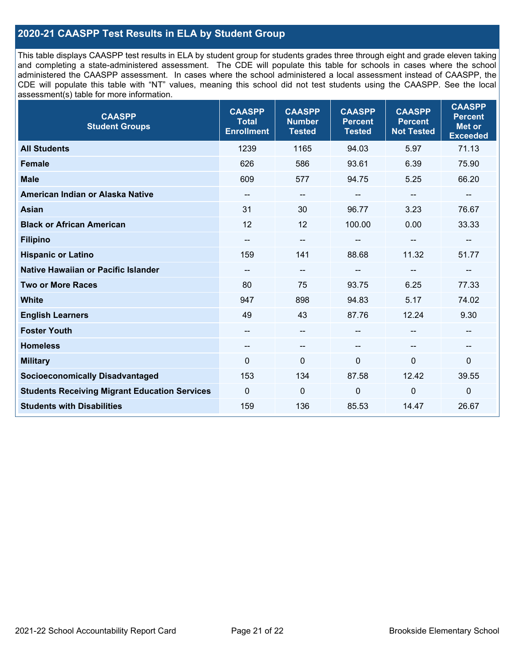## **2020-21 CAASPP Test Results in ELA by Student Group**

This table displays CAASPP test results in ELA by student group for students grades three through eight and grade eleven taking and completing a state-administered assessment. The CDE will populate this table for schools in cases where the school administered the CAASPP assessment. In cases where the school administered a local assessment instead of CAASPP, the CDE will populate this table with "NT" values, meaning this school did not test students using the CAASPP. See the local assessment(s) table for more information.

| <b>CAASPP</b><br><b>Student Groups</b>               | <b>CAASPP</b><br><b>Total</b><br><b>Enrollment</b> | <b>CAASPP</b><br><b>Number</b><br><b>Tested</b> | <b>CAASPP</b><br><b>Percent</b><br><b>Tested</b> | <b>CAASPP</b><br><b>Percent</b><br><b>Not Tested</b> | <b>CAASPP</b><br><b>Percent</b><br><b>Met or</b><br><b>Exceeded</b> |
|------------------------------------------------------|----------------------------------------------------|-------------------------------------------------|--------------------------------------------------|------------------------------------------------------|---------------------------------------------------------------------|
| <b>All Students</b>                                  | 1239                                               | 1165                                            | 94.03                                            | 5.97                                                 | 71.13                                                               |
| <b>Female</b>                                        | 626                                                | 586                                             | 93.61                                            | 6.39                                                 | 75.90                                                               |
| <b>Male</b>                                          | 609                                                | 577                                             | 94.75                                            | 5.25                                                 | 66.20                                                               |
| American Indian or Alaska Native                     | --                                                 | $\overline{\phantom{m}}$                        | --                                               | --                                                   | --                                                                  |
| <b>Asian</b>                                         | 31                                                 | 30                                              | 96.77                                            | 3.23                                                 | 76.67                                                               |
| <b>Black or African American</b>                     | 12                                                 | 12                                              | 100.00                                           | 0.00                                                 | 33.33                                                               |
| <b>Filipino</b>                                      | --                                                 | $\overline{\phantom{a}}$                        |                                                  |                                                      |                                                                     |
| <b>Hispanic or Latino</b>                            | 159                                                | 141                                             | 88.68                                            | 11.32                                                | 51.77                                                               |
| <b>Native Hawaiian or Pacific Islander</b>           | --                                                 | $\overline{\phantom{m}}$                        | --                                               | $\overline{\phantom{a}}$                             | --                                                                  |
| <b>Two or More Races</b>                             | 80                                                 | 75                                              | 93.75                                            | 6.25                                                 | 77.33                                                               |
| <b>White</b>                                         | 947                                                | 898                                             | 94.83                                            | 5.17                                                 | 74.02                                                               |
| <b>English Learners</b>                              | 49                                                 | 43                                              | 87.76                                            | 12.24                                                | 9.30                                                                |
| <b>Foster Youth</b>                                  | $\qquad \qquad -$                                  | --                                              | --                                               |                                                      | --                                                                  |
| <b>Homeless</b>                                      | --                                                 | $\overline{\phantom{a}}$                        | --                                               | $\overline{\phantom{a}}$                             | --                                                                  |
| <b>Military</b>                                      | $\Omega$                                           | $\mathbf 0$                                     | $\mathbf 0$                                      | 0                                                    | 0                                                                   |
| <b>Socioeconomically Disadvantaged</b>               | 153                                                | 134                                             | 87.58                                            | 12.42                                                | 39.55                                                               |
| <b>Students Receiving Migrant Education Services</b> | $\Omega$                                           | $\mathbf 0$                                     | $\Omega$                                         | $\Omega$                                             | $\mathbf 0$                                                         |
| <b>Students with Disabilities</b>                    | 159                                                | 136                                             | 85.53                                            | 14.47                                                | 26.67                                                               |